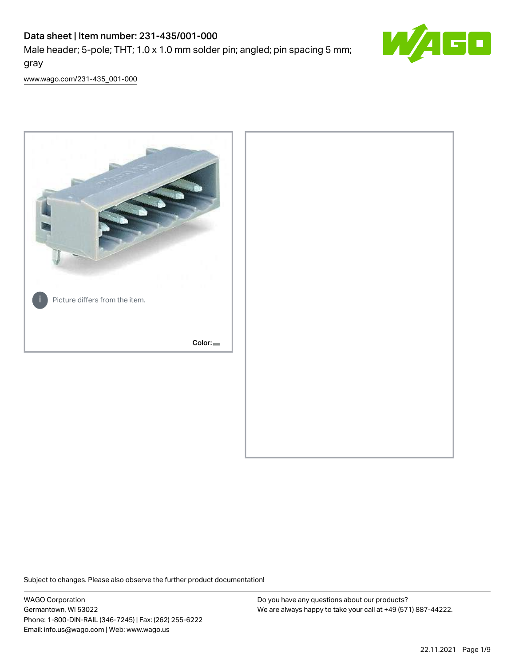# Data sheet | Item number: 231-435/001-000

Male header; 5-pole; THT; 1.0 x 1.0 mm solder pin; angled; pin spacing 5 mm; gray



[www.wago.com/231-435\\_001-000](http://www.wago.com/231-435_001-000)



Subject to changes. Please also observe the further product documentation!

WAGO Corporation Germantown, WI 53022 Phone: 1-800-DIN-RAIL (346-7245) | Fax: (262) 255-6222 Email: info.us@wago.com | Web: www.wago.us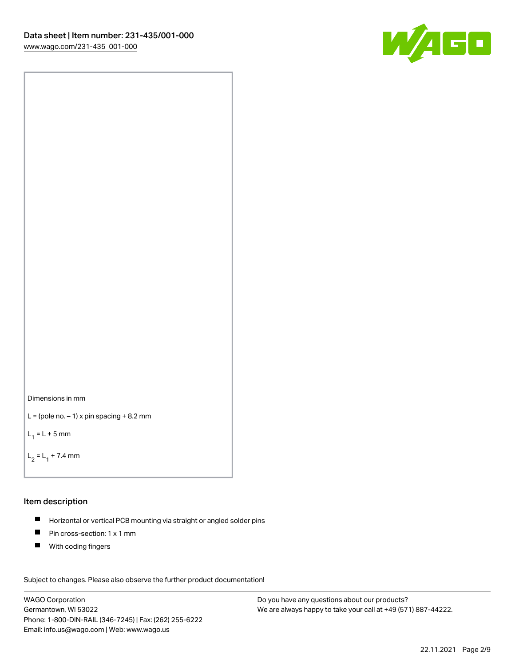



```
L = (pole no. -1) x pin spacing +8.2 mm
```
 $L_1 = L + 5$  mm

```
L_2 = L_1 + 7.4 mm
```
#### Item description

- Horizontal or vertical PCB mounting via straight or angled solder pins  $\blacksquare$
- $\blacksquare$ Pin cross-section: 1 x 1 mm
- $\blacksquare$ With coding fingers

Subject to changes. Please also observe the further product documentation! Data

WAGO Corporation Germantown, WI 53022 Phone: 1-800-DIN-RAIL (346-7245) | Fax: (262) 255-6222 Email: info.us@wago.com | Web: www.wago.us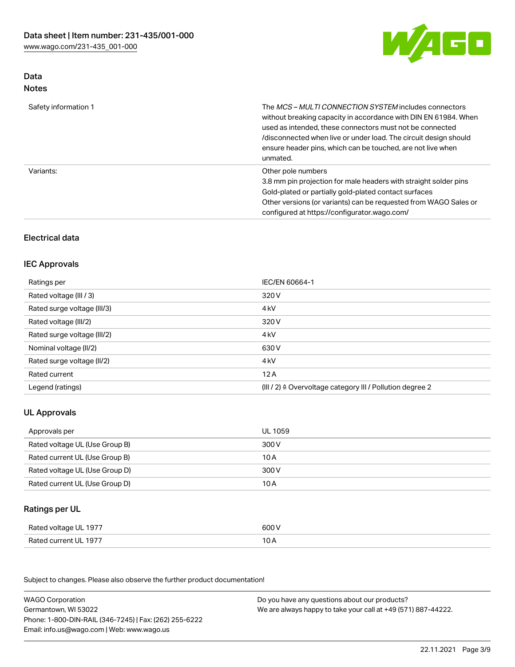

# Data Notes

| Safety information 1 | The <i>MCS – MULTI CONNECTION SYSTEM</i> includes connectors<br>without breaking capacity in accordance with DIN EN 61984. When<br>used as intended, these connectors must not be connected<br>/disconnected when live or under load. The circuit design should<br>ensure header pins, which can be touched, are not live when<br>unmated. |
|----------------------|--------------------------------------------------------------------------------------------------------------------------------------------------------------------------------------------------------------------------------------------------------------------------------------------------------------------------------------------|
| Variants:            | Other pole numbers<br>3.8 mm pin projection for male headers with straight solder pins<br>Gold-plated or partially gold-plated contact surfaces<br>Other versions (or variants) can be requested from WAGO Sales or<br>configured at https://configurator.wago.com/                                                                        |

# Electrical data

# IEC Approvals

| Ratings per                 | IEC/EN 60664-1                                                        |
|-----------------------------|-----------------------------------------------------------------------|
| Rated voltage (III / 3)     | 320 V                                                                 |
| Rated surge voltage (III/3) | 4 <sub>k</sub> V                                                      |
| Rated voltage (III/2)       | 320 V                                                                 |
| Rated surge voltage (III/2) | 4 <sub>k</sub> V                                                      |
| Nominal voltage (II/2)      | 630 V                                                                 |
| Rated surge voltage (II/2)  | 4 <sub>k</sub> V                                                      |
| Rated current               | 12A                                                                   |
| Legend (ratings)            | $(III / 2)$ $\triangle$ Overvoltage category III / Pollution degree 2 |

# UL Approvals

| Approvals per                  | UL 1059 |
|--------------------------------|---------|
| Rated voltage UL (Use Group B) | 300 V   |
| Rated current UL (Use Group B) | 10 A    |
| Rated voltage UL (Use Group D) | 300 V   |
| Rated current UL (Use Group D) | 10 A    |

### Ratings per UL

| Rated voltage UL 1977 | 600 V |
|-----------------------|-------|
| Rated current UL 1977 | 10 A  |

| <b>WAGO Corporation</b>                                | Do you have any questions about our products?                 |
|--------------------------------------------------------|---------------------------------------------------------------|
| Germantown, WI 53022                                   | We are always happy to take your call at +49 (571) 887-44222. |
| Phone: 1-800-DIN-RAIL (346-7245)   Fax: (262) 255-6222 |                                                               |
| Email: info.us@wago.com   Web: www.wago.us             |                                                               |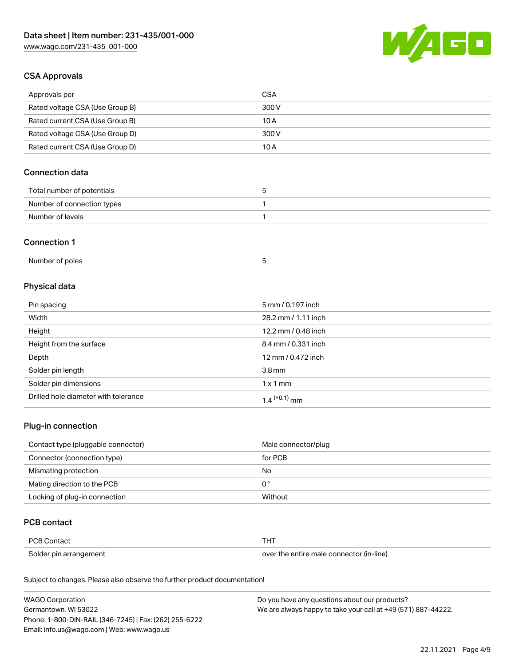

# CSA Approvals

| Approvals per                   | CSA   |
|---------------------------------|-------|
| Rated voltage CSA (Use Group B) | 300 V |
| Rated current CSA (Use Group B) | 10 A  |
| Rated voltage CSA (Use Group D) | 300 V |
| Rated current CSA (Use Group D) | 10 A  |

# Connection data

| Total number of potentials |  |
|----------------------------|--|
| Number of connection types |  |
| Number of levels           |  |

#### Connection 1

| Number of poles |  |
|-----------------|--|
|                 |  |

# Physical data

| Pin spacing                          | 5 mm / 0.197 inch   |
|--------------------------------------|---------------------|
| Width                                | 28.2 mm / 1.11 inch |
| Height                               | 12.2 mm / 0.48 inch |
| Height from the surface              | 8.4 mm / 0.331 inch |
| Depth                                | 12 mm / 0.472 inch  |
| Solder pin length                    | 3.8 <sub>mm</sub>   |
| Solder pin dimensions                | $1 \times 1$ mm     |
| Drilled hole diameter with tolerance | $1.4$ $(+0.1)$ mm   |

# Plug-in connection

| Contact type (pluggable connector) | Male connector/plug |
|------------------------------------|---------------------|
| Connector (connection type)        | for PCB             |
| Mismating protection               | No                  |
| Mating direction to the PCB        | 0°                  |
| Locking of plug-in connection      | Without             |

### PCB contact

| <b>PCB Contact</b>     | <b>THT</b>                               |
|------------------------|------------------------------------------|
| Solder pin arrangement | over the entire male connector (in-line) |

| <b>WAGO Corporation</b>                                | Do you have any questions about our products?                 |
|--------------------------------------------------------|---------------------------------------------------------------|
| Germantown, WI 53022                                   | We are always happy to take your call at +49 (571) 887-44222. |
| Phone: 1-800-DIN-RAIL (346-7245)   Fax: (262) 255-6222 |                                                               |
| Email: info.us@wago.com   Web: www.wago.us             |                                                               |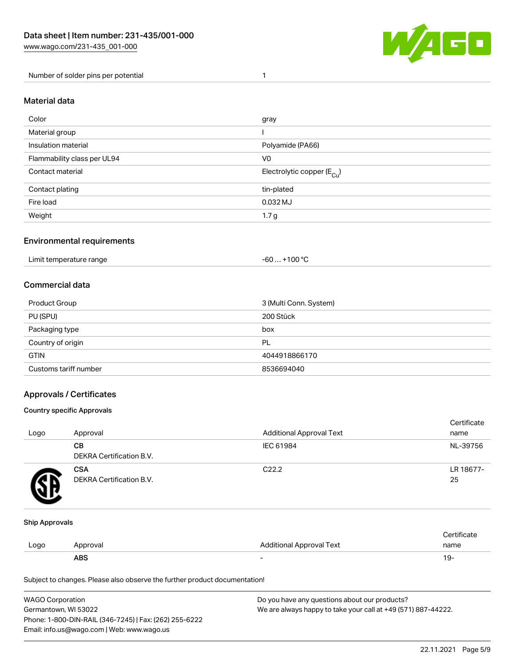

Number of solder pins per potential 1

#### Material data

| Color                       | gray                                  |
|-----------------------------|---------------------------------------|
| Material group              |                                       |
| Insulation material         | Polyamide (PA66)                      |
| Flammability class per UL94 | V <sub>0</sub>                        |
| Contact material            | Electrolytic copper $(E_{\text{Cl}})$ |
| Contact plating             | tin-plated                            |
| Fire load                   | 0.032 MJ                              |
| Weight                      | 1.7 <sub>g</sub>                      |

#### Environmental requirements

Limit temperature range  $-60... +100$  °C

#### Commercial data

| Product Group         | 3 (Multi Conn. System) |
|-----------------------|------------------------|
| PU (SPU)              | 200 Stück              |
| Packaging type        | box                    |
| Country of origin     | PL                     |
| <b>GTIN</b>           | 4044918866170          |
| Customs tariff number | 8536694040             |

### Approvals / Certificates

#### Country specific Approvals

| Logo | Approval                               | <b>Additional Approval Text</b> | Certificate<br>name |
|------|----------------------------------------|---------------------------------|---------------------|
|      | CВ<br><b>DEKRA Certification B.V.</b>  | IEC 61984                       | NL-39756            |
|      | <b>CSA</b><br>DEKRA Certification B.V. | C <sub>22.2</sub>               | LR 18677-<br>25     |

#### Ship Approvals

|      | <b>ABS</b> |                          | 19-  |
|------|------------|--------------------------|------|
| LOQO | Approval   | Additional Approval Text | name |
|      |            |                          |      |

| <b>WAGO Corporation</b>                                | Do you have any questions about our products?                 |
|--------------------------------------------------------|---------------------------------------------------------------|
| Germantown. WI 53022                                   | We are always happy to take your call at +49 (571) 887-44222. |
| Phone: 1-800-DIN-RAIL (346-7245)   Fax: (262) 255-6222 |                                                               |
| Email: info.us@wago.com   Web: www.wago.us             |                                                               |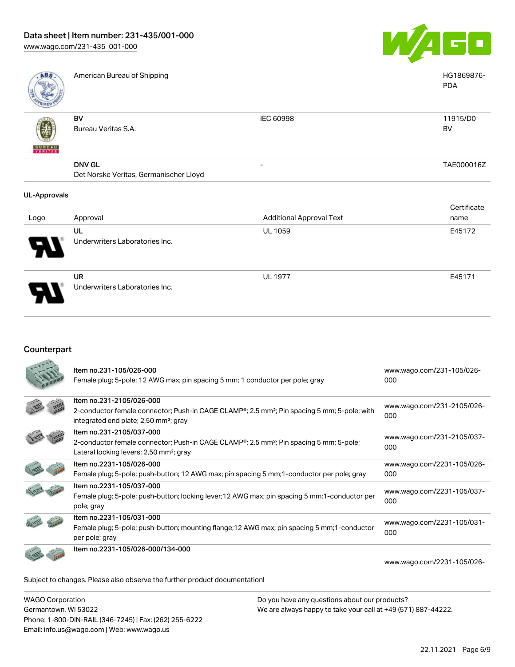

PDA

American Bureau of Shipping National American Bureau of Shipping National American Bureau of Shipping National American Bureau of Shipping National American Bureau of Shipping National American Bureau of Shipping National

| RONED                  |                                        |                          |            |
|------------------------|----------------------------------------|--------------------------|------------|
|                        | BV                                     | IEC 60998                | 11915/D0   |
| \$                     | Bureau Veritas S.A.                    |                          | <b>BV</b>  |
| U N E A U<br>E RITA SS |                                        |                          |            |
|                        | <b>DNV GL</b>                          | $\overline{\phantom{0}}$ | TAE000016Z |
|                        | Det Norske Veritas, Germanischer Lloyd |                          |            |
|                        |                                        |                          |            |

#### UL-Approvals

÷

| Logo | Approval                                    | <b>Additional Approval Text</b> | Certificate<br>name |
|------|---------------------------------------------|---------------------------------|---------------------|
| 8    | UL<br>Underwriters Laboratories Inc.        | <b>UL 1059</b>                  | E45172              |
| O    | <b>UR</b><br>Underwriters Laboratories Inc. | <b>UL 1977</b>                  | E45171              |

#### Counterpart

| Item no.231-105/026-000<br>Female plug; 5-pole; 12 AWG max; pin spacing 5 mm; 1 conductor per pole; gray                                                                                           | www.wago.com/231-105/026-<br>000  |
|----------------------------------------------------------------------------------------------------------------------------------------------------------------------------------------------------|-----------------------------------|
| Item no.231-2105/026-000<br>2-conductor female connector; Push-in CAGE CLAMP®; 2.5 mm <sup>2</sup> ; Pin spacing 5 mm; 5-pole; with<br>integrated end plate; 2,50 mm <sup>2</sup> ; gray           | www.wago.com/231-2105/026-<br>000 |
| Item no.231-2105/037-000<br>2-conductor female connector; Push-in CAGE CLAMP <sup>®</sup> ; 2.5 mm <sup>2</sup> ; Pin spacing 5 mm; 5-pole;<br>Lateral locking levers; 2,50 mm <sup>2</sup> ; gray | www.wago.com/231-2105/037-<br>000 |
| Item no.2231-105/026-000<br>Female plug; 5-pole; push-button; 12 AWG max; pin spacing 5 mm; 1-conductor per pole; gray                                                                             | www.wago.com/2231-105/026-<br>000 |
| Item no.2231-105/037-000<br>Female plug; 5-pole; push-button; locking lever; 12 AWG max; pin spacing 5 mm; 1-conductor per<br>pole; gray                                                           | www.wago.com/2231-105/037-<br>000 |
| Item no.2231-105/031-000<br>Female plug; 5-pole; push-button; mounting flange; 12 AWG max; pin spacing 5 mm; 1-conductor<br>per pole; gray                                                         | www.wago.com/2231-105/031-<br>000 |
| Item no.2231-105/026-000/134-000                                                                                                                                                                   | www.wago.com/2231-105/026-        |
| Subject to changes. Please also observe the further product documentation!                                                                                                                         |                                   |

WAGO Corporation Germantown, WI 53022 Phone: 1-800-DIN-RAIL (346-7245) | Fax: (262) 255-6222 Email: info.us@wago.com | Web: www.wago.us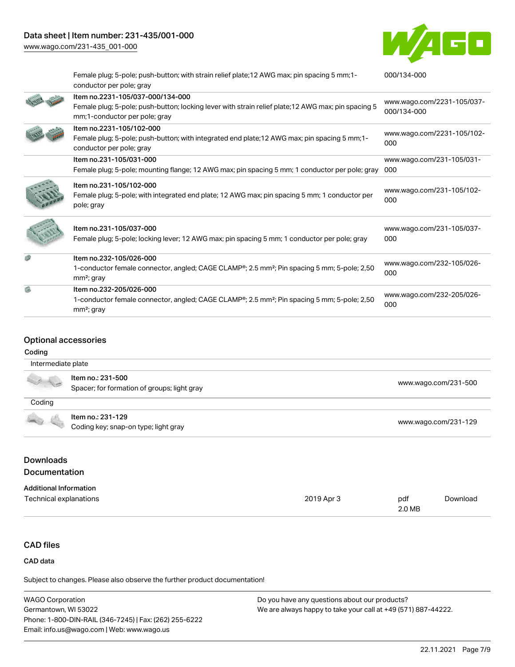[www.wago.com/231-435\\_001-000](http://www.wago.com/231-435_001-000)



|    | Female plug; 5-pole; push-button; with strain relief plate; 12 AWG max; pin spacing 5 mm; 1-<br>conductor per pole; gray                                                 | 000/134-000                               |
|----|--------------------------------------------------------------------------------------------------------------------------------------------------------------------------|-------------------------------------------|
|    | Item no.2231-105/037-000/134-000<br>Female plug; 5-pole; push-button; locking lever with strain relief plate; 12 AWG max; pin spacing 5<br>mm;1-conductor per pole; gray | www.wago.com/2231-105/037-<br>000/134-000 |
|    | Item no.2231-105/102-000<br>Female plug; 5-pole; push-button; with integrated end plate; 12 AWG max; pin spacing 5 mm; 1-<br>conductor per pole; gray                    | www.wago.com/2231-105/102-<br>000         |
|    | Item no.231-105/031-000<br>Female plug; 5-pole; mounting flange; 12 AWG max; pin spacing 5 mm; 1 conductor per pole; gray                                                | www.wago.com/231-105/031-<br>000          |
|    | Item no.231-105/102-000<br>Female plug; 5-pole; with integrated end plate; 12 AWG max; pin spacing 5 mm; 1 conductor per<br>pole; gray                                   | www.wago.com/231-105/102-<br>000          |
|    | Item no.231-105/037-000<br>Female plug; 5-pole; locking lever; 12 AWG max; pin spacing 5 mm; 1 conductor per pole; gray                                                  | www.wago.com/231-105/037-<br>000          |
|    | Item no.232-105/026-000<br>1-conductor female connector, angled; CAGE CLAMP®; 2.5 mm <sup>2</sup> ; Pin spacing 5 mm; 5-pole; 2,50<br>$mm2$ ; gray                       | www.wago.com/232-105/026-<br>000          |
| g) | Item no.232-205/026-000<br>1-conductor female connector, angled; CAGE CLAMP <sup>®</sup> ; 2.5 mm <sup>2</sup> ; Pin spacing 5 mm; 5-pole; 2,50<br>$mm2$ ; gray          | www.wago.com/232-205/026-<br>000          |

# Optional accessories

#### Coding

| Intermediate plate |                                                                  |                      |
|--------------------|------------------------------------------------------------------|----------------------|
|                    | Item no.: 231-500<br>Spacer; for formation of groups; light gray | www.wago.com/231-500 |
| Coding             |                                                                  |                      |
|                    | Item no.: 231-129<br>Coding key; snap-on type; light gray        | www.wago.com/231-129 |

# **Downloads Documentation**

# Additional Information

| Technical explanations | 2019 Apr 3 | pdf    | Download |
|------------------------|------------|--------|----------|
|                        |            | 2.0 MB |          |

# CAD files

#### CAD data

| WAGO Corporation                                       | Do you have any questions about our products?                 |
|--------------------------------------------------------|---------------------------------------------------------------|
| Germantown, WI 53022                                   | We are always happy to take your call at +49 (571) 887-44222. |
| Phone: 1-800-DIN-RAIL (346-7245)   Fax: (262) 255-6222 |                                                               |
| Email: info.us@wago.com   Web: www.wago.us             |                                                               |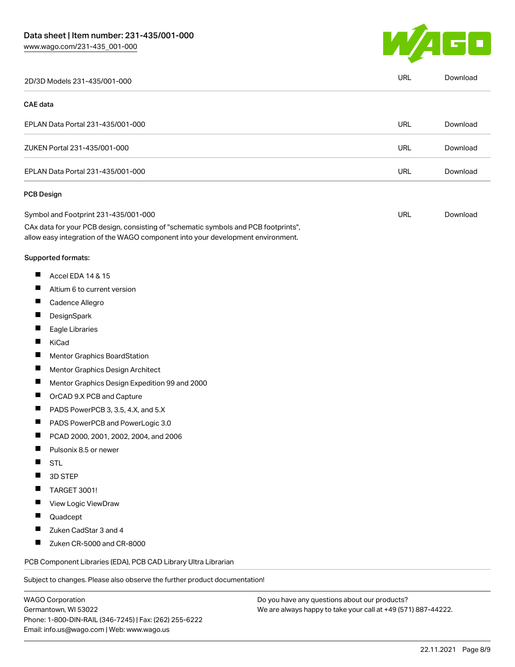

| 2D/3D Models 231-435/001-000                                                                                                                                           | URL        | Download |
|------------------------------------------------------------------------------------------------------------------------------------------------------------------------|------------|----------|
| <b>CAE</b> data                                                                                                                                                        |            |          |
| EPLAN Data Portal 231-435/001-000                                                                                                                                      | URL        | Download |
| ZUKEN Portal 231-435/001-000                                                                                                                                           | <b>URL</b> | Download |
| EPLAN Data Portal 231-435/001-000                                                                                                                                      | <b>URL</b> | Download |
| <b>PCB Design</b>                                                                                                                                                      |            |          |
| Symbol and Footprint 231-435/001-000                                                                                                                                   | URL        | Download |
| CAx data for your PCB design, consisting of "schematic symbols and PCB footprints",<br>allow easy integration of the WAGO component into your development environment. |            |          |
| Supported formats:                                                                                                                                                     |            |          |
| Accel EDA 14 & 15                                                                                                                                                      |            |          |
| П<br>Altium 6 to current version                                                                                                                                       |            |          |
| ш<br>Cadence Allegro                                                                                                                                                   |            |          |
| DesignSpark                                                                                                                                                            |            |          |
| Eagle Libraries<br>ш                                                                                                                                                   |            |          |
| Ш<br>KiCad                                                                                                                                                             |            |          |
| Mentor Graphics BoardStation                                                                                                                                           |            |          |
| $\blacksquare$<br>Mentor Graphics Design Architect                                                                                                                     |            |          |
| ш<br>Mentor Graphics Design Expedition 99 and 2000                                                                                                                     |            |          |
| OrCAD 9.X PCB and Capture<br>Ш                                                                                                                                         |            |          |
| $\blacksquare$<br>PADS PowerPCB 3, 3.5, 4.X, and 5.X                                                                                                                   |            |          |
| П<br>PADS PowerPCB and PowerLogic 3.0                                                                                                                                  |            |          |
| Ш<br>PCAD 2000, 2001, 2002, 2004, and 2006                                                                                                                             |            |          |
| Ш<br>Pulsonix 8.5 or newer                                                                                                                                             |            |          |
| <b>STL</b>                                                                                                                                                             |            |          |
| 3D STEP                                                                                                                                                                |            |          |
| TARGET 3001!<br><b>The State</b>                                                                                                                                       |            |          |
| View Logic ViewDraw                                                                                                                                                    |            |          |
| Quadcept                                                                                                                                                               |            |          |
| Zuken CadStar 3 and 4<br>Ш                                                                                                                                             |            |          |
| Zuken CR-5000 and CR-8000                                                                                                                                              |            |          |
| PCB Component Libraries (EDA), PCB CAD Library Ultra Librarian                                                                                                         |            |          |
| Subject to changes. Please also observe the further product documentation!                                                                                             |            |          |
|                                                                                                                                                                        |            |          |

WAGO Corporation Germantown, WI 53022 Phone: 1-800-DIN-RAIL (346-7245) | Fax: (262) 255-6222 Email: info.us@wago.com | Web: www.wago.us